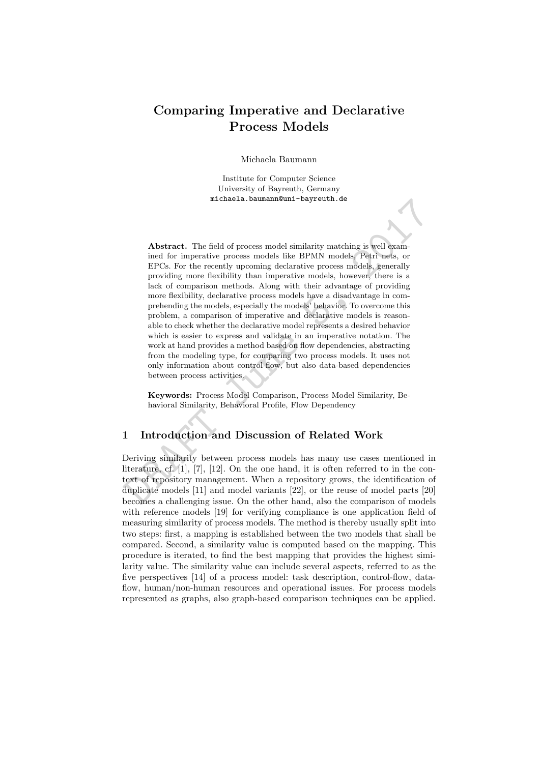# Comparing Imperative and Declarative Process Models

Michaela Baumann

Institute for Computer Science University of Bayreuth, Germany michaela.baumann@uni-bayreuth.de

micnaeia. baunanneuni-bayreuth. de<br>
Abstract. The field of process model similarity matching is well examined for imperative process models like BPMN models, Petri nets, or<br>
PPCS. For the recently upcoming declarative pro Abstract. The field of process model similarity matching is well examined for imperative process models like BPMN models, Petri nets, or EPCs. For the recently upcoming declarative process models, generally providing more flexibility than imperative models, however, there is a lack of comparison methods. Along with their advantage of providing more flexibility, declarative process models have a disadvantage in comprehending the models, especially the models' behavior. To overcome this problem, a comparison of imperative and declarative models is reasonable to check whether the declarative model represents a desired behavior which is easier to express and validate in an imperative notation. The work at hand provides a method based on flow dependencies, abstracting from the modeling type, for comparing two process models. It uses not only information about control-flow, but also data-based dependencies between process activities.

Keywords: Process Model Comparison, Process Model Similarity, Behavioral Similarity, Behavioral Profile, Flow Dependency

## 1 Introduction and Discussion of Related Work

Deriving similarity between process models has many use cases mentioned in literature, cf. [1], [7], [12]. On the one hand, it is often referred to in the context of repository management. When a repository grows, the identification of duplicate models [11] and model variants [22], or the reuse of model parts [20] becomes a challenging issue. On the other hand, also the comparison of models with reference models [19] for verifying compliance is one application field of measuring similarity of process models. The method is thereby usually split into two steps: first, a mapping is established between the two models that shall be compared. Second, a similarity value is computed based on the mapping. This procedure is iterated, to find the best mapping that provides the highest similarity value. The similarity value can include several aspects, referred to as the five perspectives [14] of a process model: task description, control-flow, dataflow, human/non-human resources and operational issues. For process models represented as graphs, also graph-based comparison techniques can be applied.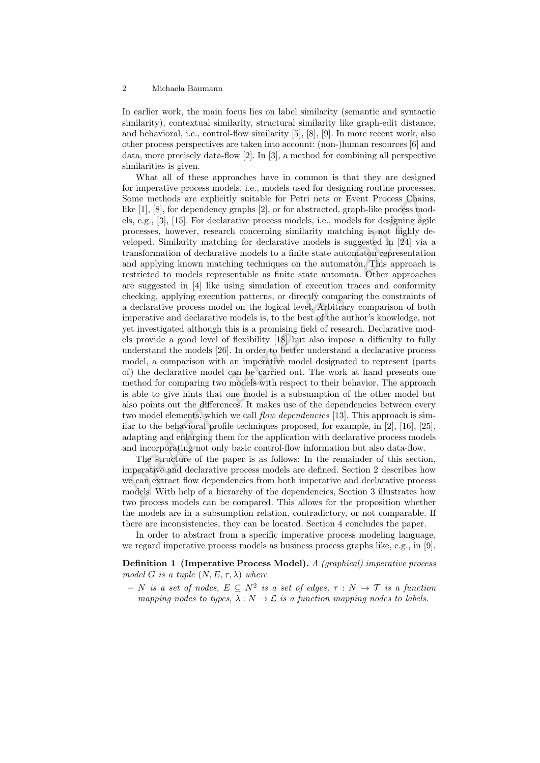In earlier work, the main focus lies on label similarity (semantic and syntactic similarity), contextual similarity, structural similarity like graph-edit distance, and behavioral, i.e., control-flow similarity [5], [8], [9]. In more recent work, also other process perspectives are taken into account: (non-)human resources [6] and data, more precisely data-flow [2]. In [3], a method for combining all perspective similarities is given.

Some methods are explicitly suitable for Petri nets or Event Process Chains<br>
like l[l, [8], for dependency graphs [2], or for abstracted, graph-like process models<br>
like l[l, [8], for dependency graphs [2], or for abstrac What all of these approaches have in common is that they are designed for imperative process models, i.e., models used for designing routine processes. Some methods are explicitly suitable for Petri nets or Event Process Chains, like [1], [8], for dependency graphs [2], or for abstracted, graph-like process models, e.g., [3], [15]. For declarative process models, i.e., models for designing agile processes, however, research concerning similarity matching is not highly developed. Similarity matching for declarative models is suggested in [24] via a transformation of declarative models to a finite state automaton representation and applying known matching techniques on the automaton. This approach is restricted to models representable as finite state automata. Other approaches are suggested in [4] like using simulation of execution traces and conformity checking, applying execution patterns, or directly comparing the constraints of a declarative process model on the logical level. Arbitrary comparison of both imperative and declarative models is, to the best of the author's knowledge, not yet investigated although this is a promising field of research. Declarative models provide a good level of flexibility [18] but also impose a difficulty to fully understand the models [26]. In order to better understand a declarative process model, a comparison with an imperative model designated to represent (parts of) the declarative model can be carried out. The work at hand presents one method for comparing two models with respect to their behavior. The approach is able to give hints that one model is a subsumption of the other model but also points out the differences. It makes use of the dependencies between every two model elements, which we call *flow dependencies* [13]. This approach is similar to the behavioral profile techniques proposed, for example, in [2], [16], [25], adapting and enlarging them for the application with declarative process models and incorporating not only basic control-flow information but also data-flow.

The structure of the paper is as follows: In the remainder of this section, imperative and declarative process models are defined. Section 2 describes how we can extract flow dependencies from both imperative and declarative process models. With help of a hierarchy of the dependencies, Section 3 illustrates how two process models can be compared. This allows for the proposition whether the models are in a subsumption relation, contradictory, or not comparable. If there are inconsistencies, they can be located. Section 4 concludes the paper.

In order to abstract from a specific imperative process modeling language, we regard imperative process models as business process graphs like, e.g., in [9].

Definition 1 (Imperative Process Model). A (graphical) imperative process model G is a tuple  $(N, E, \tau, \lambda)$  where

 $-$  N is a set of nodes,  $E \subseteq N^2$  is a set of edges,  $\tau : N \to \mathcal{T}$  is a function mapping nodes to types,  $\lambda : N \to \mathcal{L}$  is a function mapping nodes to labels.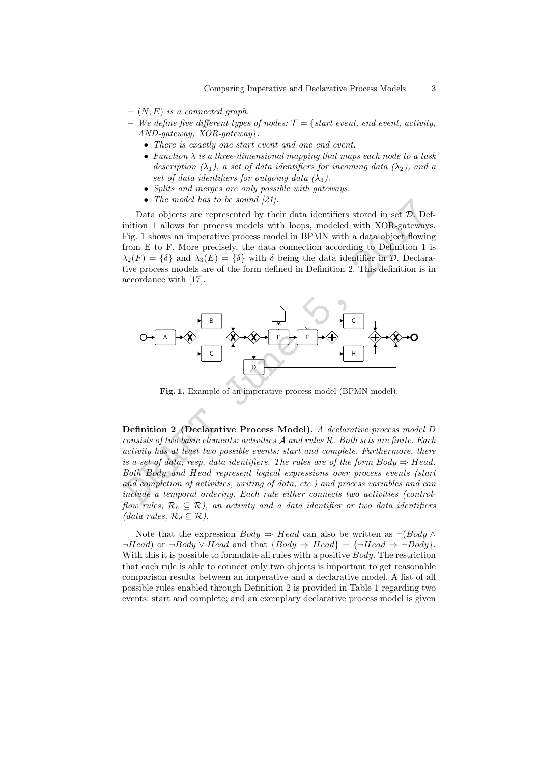- $(N, E)$  is a connected graph.
- We define five different types of nodes:  $\mathcal{T} = \{ start \ event, end \ event, activity,$ AND-gateway, XOR-gateway}.
	- There is exactly one start event and one end event.
	- Function  $\lambda$  is a three-dimensional mapping that maps each node to a task description  $(\lambda_1)$ , a set of data identifiers for incoming data  $(\lambda_2)$ , and a set of data identifiers for outgoing data  $(\lambda_3)$ .
	- Splits and merges are only possible with gateways.
	- The model has to be sound [21].

Data objects are represented by their data identifiers stored in set  $\mathcal{D}$ . Definition 1 allows for process models with loops, modeled with XOR-gateways. Fig. 1 shows an imperative process model in BPMN with a data object flowing from E to F. More precisely, the data connection according to Definition 1 is  $\lambda_2(F) = {\delta}$  and  $\lambda_3(E) = {\delta}$  with  $\delta$  being the data identifier in  $\mathcal{D}$ . Declarative process models are of the form defined in Definition 2. This definition is in accordance with [17].



Fig. 1. Example of an imperative process model (BPMN model).

Definition 2 (Declarative Process Model). A declarative process model D consists of two basic elements: activities A and rules R. Both sets are finite. Each activity has at least two possible events: start and complete. Furthermore, there is a set of data, resp. data identifiers. The rules are of the form  $Body \Rightarrow Head.$ Both Body and Head represent logical expressions over process events (start and completion of activities, writing of data, etc.) and process variables and can include a temporal ordering. Each rule either connects two activities (controlflow rules,  $\mathcal{R}_c \subseteq \mathcal{R}$ ), an activity and a data identifier or two data identifiers (data rules,  $\mathcal{R}_d \subseteq \mathcal{R}$ ).

Note that the expression  $Body \Rightarrow Head$  can also be written as  $\neg (Body \land$  $\neg Head$ ) or  $\neg Body \vee Head$  and that  ${Body \Rightarrow Head} = {\neg Head \Rightarrow \neg Body}.$ With this it is possible to formulate all rules with a positive Body. The restriction that each rule is able to connect only two objects is important to get reasonable comparison results between an imperative and a declarative model. A list of all possible rules enabled through Definition 2 is provided in Table 1 regarding two events: start and complete; and an exemplary declarative process model is given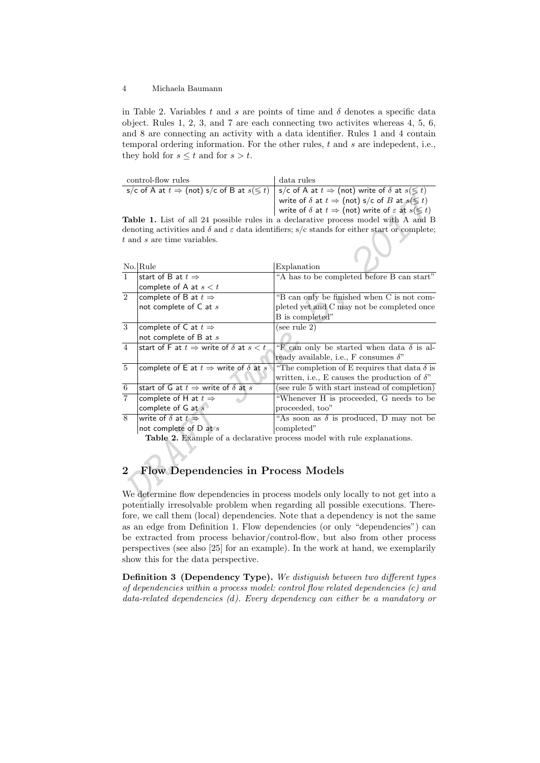in Table 2. Variables t and s are points of time and  $\delta$  denotes a specific data object. Rules 1, 2, 3, and 7 are each connecting two activites whereas 4, 5, 6, and 8 are connecting an activity with a data identifier. Rules 1 and 4 contain temporal ordering information. For the other rules,  $t$  and  $s$  are indepedent, i.e., they hold for  $s \leq t$  and for  $s > t$ .

| s/c of A at $t \Rightarrow$ (not) s/c of B at $s(\leq t)$   s/c of A at $t \Rightarrow$ (not) write of $\delta$ at $s(\leq t)$ |  |
|--------------------------------------------------------------------------------------------------------------------------------|--|
|                                                                                                                                |  |
| write of $\delta$ at $t\Rightarrow$ (not) s/c of $B$ at $s(\lessgtr t)$                                                        |  |
| write of $\delta$ at $t \Rightarrow$ (not) write of $\varepsilon$ at $s(\leq t)$                                               |  |

|                |                                                                  | write of $\delta$ at $t \Rightarrow$ (not) s/c of B at $s(\leq t)$                                            |
|----------------|------------------------------------------------------------------|---------------------------------------------------------------------------------------------------------------|
|                |                                                                  | write of $\delta$ at $t \Rightarrow$ (not) write of $\varepsilon$ at $s(\leq t)$                              |
|                |                                                                  | Table 1. List of all 24 possible rules in a declarative process model with A and B                            |
|                |                                                                  | denoting activities and $\delta$ and $\varepsilon$ data identifiers; s/c stands for either start or complete; |
|                | $t$ and $s$ are time variables.                                  |                                                                                                               |
|                |                                                                  |                                                                                                               |
|                | $No.$ Rule                                                       | Explanation                                                                                                   |
| $\mathbf{1}$   | start of B at $t \Rightarrow$                                    | "A has to be completed before B can start"                                                                    |
|                | complete of A at $s < t$                                         |                                                                                                               |
| $\overline{2}$ | complete of B at $t \Rightarrow$                                 | "B can only be finished when C is not com-                                                                    |
|                | not complete of C at s                                           | pleted yet and C may not be completed once                                                                    |
|                |                                                                  | B is completed"                                                                                               |
| 3              | complete of C at $t \Rightarrow$                                 | (see rule 2)                                                                                                  |
|                | not complete of $B$ at $s$                                       |                                                                                                               |
| $\overline{4}$ | start of F at $t \Rightarrow$ write of $\delta$ at $s < t$       | "F can only be started when data $\delta$ is al-                                                              |
|                |                                                                  | ready available, i.e., F consumes $\delta$ "                                                                  |
| $\,$ 5 $\,$    | complete of E at $t \Rightarrow$ write of $\delta$ at $s$        | "The completion of E requires that data $\delta$ is                                                           |
|                |                                                                  | written, i.e., E causes the production of $\delta$ "                                                          |
| $\overline{6}$ | start of G at $t \Rightarrow$ write of $\delta$ at $s$           | (see rule 5 with start instead of completion)                                                                 |
| $\overline{7}$ | complete of H at $t \Rightarrow$                                 | "Whenever H is proceeded, G needs to be                                                                       |
|                | complete of $G$ at $s$                                           | proceeded, too"                                                                                               |
| 8              | write of $\delta$ at $t \Rightarrow$                             | "As soon as $\delta$ is produced, D may not be                                                                |
|                | not complete of $D$ at $s$                                       | completed"                                                                                                    |
|                |                                                                  | Table 2. Example of a declarative process model with rule explanations.                                       |
|                |                                                                  |                                                                                                               |
|                |                                                                  |                                                                                                               |
| $\bf{2}$       | <b>Flow Dependencies in Process Models</b>                       |                                                                                                               |
|                |                                                                  |                                                                                                               |
|                |                                                                  |                                                                                                               |
|                | $\mathbf{r}$ , and the set of the set of the set of $\mathbf{r}$ | We determine flow dependencies in process models only locally to not get into a                               |

# 2 Flow Dependencies in Process Models

We determine flow dependencies in process models only locally to not get into a potentially irresolvable problem when regarding all possible executions. Therefore, we call them (local) dependencies. Note that a dependency is not the same as an edge from Definition 1. Flow dependencies (or only "dependencies") can be extracted from process behavior/control-flow, but also from other process perspectives (see also [25] for an example). In the work at hand, we exemplarily show this for the data perspective.

Definition 3 (Dependency Type). We distiguish between two different types of dependencies within a process model: control flow related dependencies (c) and data-related dependencies (d). Every dependency can either be a mandatory or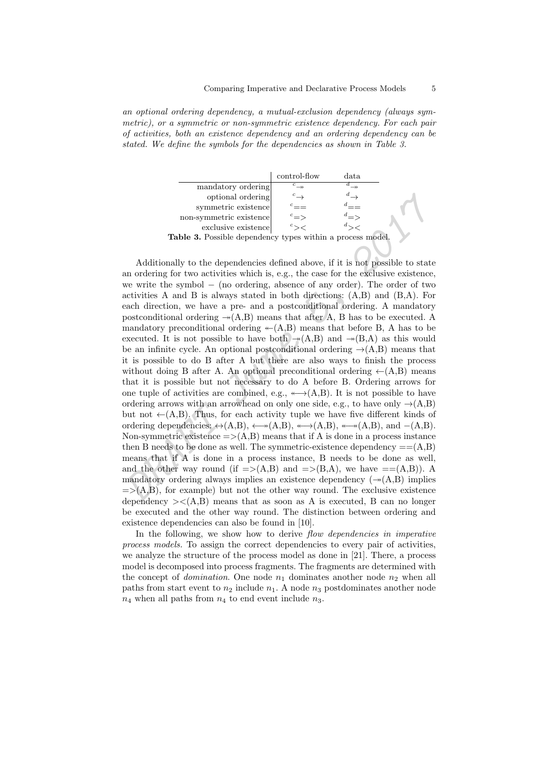an optional ordering dependency, a mutual-exclusion dependency (always symmetric), or a symmetric or non-symmetric existence dependency. For each pair of activities, both an existence dependency and an ordering dependency can be stated. We define the symbols for the dependencies as shown in Table 3.

|                                                            | control-flow            | data |  |  |  |  |  |  |
|------------------------------------------------------------|-------------------------|------|--|--|--|--|--|--|
| mandatory ordering                                         | ${}^c\rightarrow$       |      |  |  |  |  |  |  |
| optional ordering                                          |                         |      |  |  |  |  |  |  |
| symmetric existence                                        |                         |      |  |  |  |  |  |  |
| non-symmetric existence                                    | $\degree$ $\Rightarrow$ |      |  |  |  |  |  |  |
| exclusive existence                                        |                         |      |  |  |  |  |  |  |
| Table 3. Possible dependency types within a process model. |                         |      |  |  |  |  |  |  |

optional ordering<br>
symmetric existence<br>
non-symmetric existence<br>
constance existence<br>
exclusive existence<br>
exclusive existence<br>
exclusive existence<br>
exclusive existence<br>  $^c = 0$ <br>
Additionally to the dependencies defined a Additionally to the dependencies defined above, if it is not possible to state an ordering for two activities which is, e.g., the case for the exclusive existence, we write the symbol − (no ordering, absence of any order). The order of two activities A and B is always stated in both directions: (A,B) and (B,A). For each direction, we have a pre- and a postconditional ordering. A mandatory postconditional ordering  $\rightarrow(A,B)$  means that after A, B has to be executed. A mandatory preconditional ordering  $\leftarrow(A,B)$  means that before B, A has to be executed. It is not possible to have both  $\rightarrow(A,B)$  and  $\rightarrow(B,A)$  as this would be an infinite cycle. An optional postconditional ordering  $\rightarrow(A,B)$  means that it is possible to do B after A but there are also ways to finish the process without doing B after A. An optional preconditional ordering  $\leftarrow(A,B)$  means that it is possible but not necessary to do A before B. Ordering arrows for one tuple of activities are combined, e.g.,  $\longleftrightarrow$  (A,B). It is not possible to have ordering arrows with an arrowhead on only one side, e.g., to have only  $\rightarrow(A,B)$ but not  $\leftarrow(A,B)$ . Thus, for each activity tuple we have five different kinds of ordering dependencies:  $\leftrightarrow$ (A,B),  $\leftrightarrow$  $(A,B)$ ,  $\leftrightarrow$  $(A,B)$ ,  $\leftrightarrow$  $(A,B)$ , and  $-(A,B)$ . Non-symmetric existence  $\Rightarrow$  (A,B) means that if A is done in a process instance then B needs to be done as well. The symmetric-existence dependency  $==(A,B)$ means that if A is done in a process instance, B needs to be done as well, and the other way round (if  $\Rightarrow$ (A,B) and  $\Rightarrow$ (B,A), we have  $\Rightarrow$ (A,B)). A mandatory ordering always implies an existence dependency  $(\rightarrow(A,B)$  implies  $\Rightarrow$  (A,B), for example) but not the other way round. The exclusive existence dependency  $\geq \leq (A,B)$  means that as soon as A is executed, B can no longer be executed and the other way round. The distinction between ordering and existence dependencies can also be found in [10].

In the following, we show how to derive *flow dependencies in imperative* process models. To assign the correct dependencies to every pair of activities, we analyze the structure of the process model as done in [21]. There, a process model is decomposed into process fragments. The fragments are determined with the concept of *domination*. One node  $n_1$  dominates another node  $n_2$  when all paths from start event to  $n_2$  include  $n_1$ . A node  $n_3$  postdominates another node  $n_4$  when all paths from  $n_4$  to end event include  $n_3$ .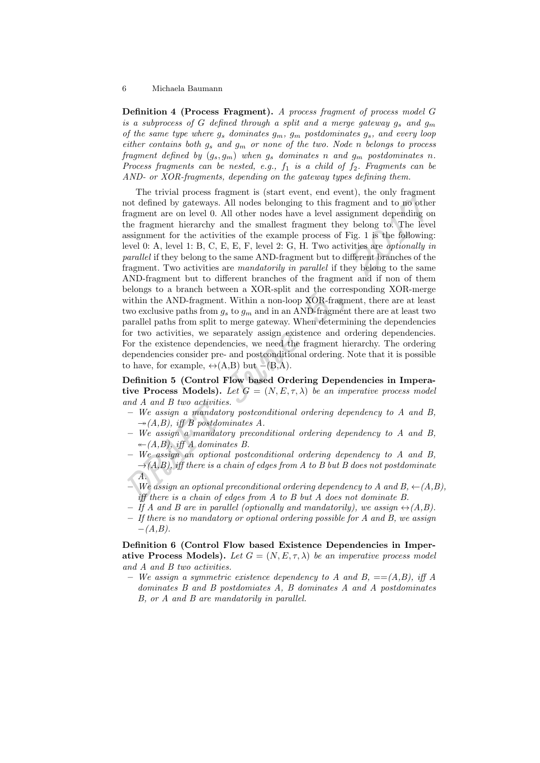Definition 4 (Process Fragment). A process fragment of process model G is a subprocess of G defined through a split and a merge gateway  $g_s$  and  $g_m$ of the same type where  $g_s$  dominates  $g_m$ ,  $g_m$  postdominates  $g_s$ , and every loop either contains both  $g_s$  and  $g_m$  or none of the two. Node n belongs to process fragment defined by  $(g_s, g_m)$  when  $g_s$  dominates n and  $g_m$  postdominates n. Process fragments can be nested, e.g.,  $f_1$  is a child of  $f_2$ . Fragments can be AND- or XOR-fragments, depending on the gateway types defining them.

The tivital plottess rangues is teat vicut, each countly then the distance of defined by gateways. All nodes belonging to this fragment and to no other<br>fragment are on level 0. All other nodes have a level assignment depe The trivial process fragment is (start event, end event), the only fragment not defined by gateways. All nodes belonging to this fragment and to no other fragment are on level 0. All other nodes have a level assignment depending on the fragment hierarchy and the smallest fragment they belong to. The level assignment for the activities of the example process of Fig. 1 is the following: level 0: A, level 1: B, C, E, E, F, level 2: G, H. Two activities are *optionally in* parallel if they belong to the same AND-fragment but to different branches of the fragment. Two activities are mandatorily in parallel if they belong to the same AND-fragment but to different branches of the fragment and if non of them belongs to a branch between a XOR-split and the corresponding XOR-merge within the AND-fragment. Within a non-loop XOR-fragment, there are at least two exclusive paths from  $g_s$  to  $g_m$  and in an AND-fragment there are at least two parallel paths from split to merge gateway. When determining the dependencies for two activities, we separately assign existence and ordering dependencies. For the existence dependencies, we need the fragment hierarchy. The ordering dependencies consider pre- and postconditional ordering. Note that it is possible to have, for example,  $\leftrightarrow$ (A,B) but –(B,A).

Definition 5 (Control Flow based Ordering Dependencies in Imperative Process Models). Let  $G = (N, E, \tau, \lambda)$  be an imperative process model and A and B two activities.

- $-$  We assign a mandatory postconditional ordering dependency to A and B,  $\rightarrow (A,B)$ , iff B postdominates A.
- We assign a mandatory preconditional ordering dependency to A and B,  $\leftarrow$  (A,B), iff A dominates B.
- We assign an optional postconditional ordering dependency to A and B,  $\rightarrow(A,B)$ , iff there is a chain of edges from A to B but B does not postdominate  $\overline{A}$ .
- We assign an optional preconditional ordering dependency to A and  $B \leftarrow (A,B)$ , iff there is a chain of edges from  $A$  to  $B$  but  $A$  does not dominate  $B$ .
- $-$  If A and B are in parallel (optionally and mandatorily), we assign  $\leftrightarrow(A,B)$ .
- $-$  If there is no mandatory or optional ordering possible for A and B, we assign  $-(A,B).$

Definition 6 (Control Flow based Existence Dependencies in Imperative Process Models). Let  $G = (N, E, \tau, \lambda)$  be an imperative process model and A and B two activities.

– We assign a symmetric existence dependency to A and B,  $==(A,B)$ , iff A dominates B and B postdomiates A, B dominates A and A postdominates B, or A and B are mandatorily in parallel.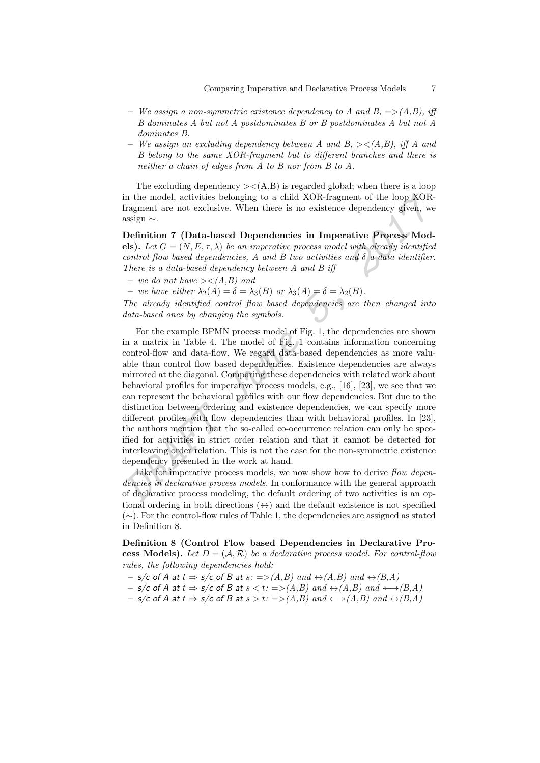- We assign a non-symmetric existence dependency to A and  $B = \geq (A,B)$ , iff B dominates A but not A postdominates B or B postdominates A but not A dominates B.
- We assign an excluding dependency between A and B,  $\geq \langle A,B \rangle$ , iff A and B belong to the same XOR-fragment but to different branches and there is neither a chain of edges from A to B nor from B to A.

The excluding dependency  $\geq$  (A,B) is regarded global; when there is a loop in the model, activities belonging to a child XOR-fragment of the loop XORfragment are not exclusive. When there is no existence dependency given, we assign ∼.

Definition 7 (Data-based Dependencies in Imperative Process Models). Let  $G = (N, E, \tau, \lambda)$  be an imperative process model with already identified control flow based dependencies, A and B two activities and  $\delta$  a data identifier. There is a data-based dependency between A and B iff

– we do not have  $\geq \leq (A,B)$  and

– we have either  $\lambda_2(A) = \delta = \lambda_3(B)$  or  $\lambda_3(A) = \delta = \lambda_2(B)$ .

The already identified control flow based dependencies are then changed into data-based ones by changing the symbols.

in the model, activities belonging to a child XOR-fragment of the loop XOR-<br>fragment or the nore act exclusive. When there is no existence dependency given, we<br>assign  $\sim$ .<br>Definition 7 (Data-based Dependencies in Imperat For the example BPMN process model of Fig. 1, the dependencies are shown in a matrix in Table 4. The model of Fig. 1 contains information concerning control-flow and data-flow. We regard data-based dependencies as more valuable than control flow based dependencies. Existence dependencies are always mirrored at the diagonal. Comparing these dependencies with related work about behavioral profiles for imperative process models, e.g., [16], [23], we see that we can represent the behavioral profiles with our flow dependencies. But due to the distinction between ordering and existence dependencies, we can specify more different profiles with flow dependencies than with behavioral profiles. In [23], the authors mention that the so-called co-occurrence relation can only be specified for activities in strict order relation and that it cannot be detected for interleaving order relation. This is not the case for the non-symmetric existence dependency presented in the work at hand.

Like for imperative process models, we now show how to derive flow dependencies in declarative process models. In conformance with the general approach of declarative process modeling, the default ordering of two activities is an optional ordering in both directions  $(\leftrightarrow)$  and the default existence is not specified (∼). For the control-flow rules of Table 1, the dependencies are assigned as stated in Definition 8.

Definition 8 (Control Flow based Dependencies in Declarative Process Models). Let  $D = (A, \mathcal{R})$  be a declarative process model. For control-flow rules, the following dependencies hold:

- $-$  s/c of A at  $t \Rightarrow s/c$  of B at  $s := >(A,B)$  and  $\leftrightarrow$   $(A,B)$  and  $\leftrightarrow$   $(B,A)$
- s/c of A at  $t \Rightarrow s/c$  of B at  $s < t$ : =>(A,B) and  $\leftrightarrow$ (A,B) and  $\leftrightarrow$ (B,A)
- $-$  s/c of A at  $t \Rightarrow s/c$  of B at  $s > t$ : =>(A,B) and  $\leftrightarrow(A,B)$  and  $\leftrightarrow(B,A)$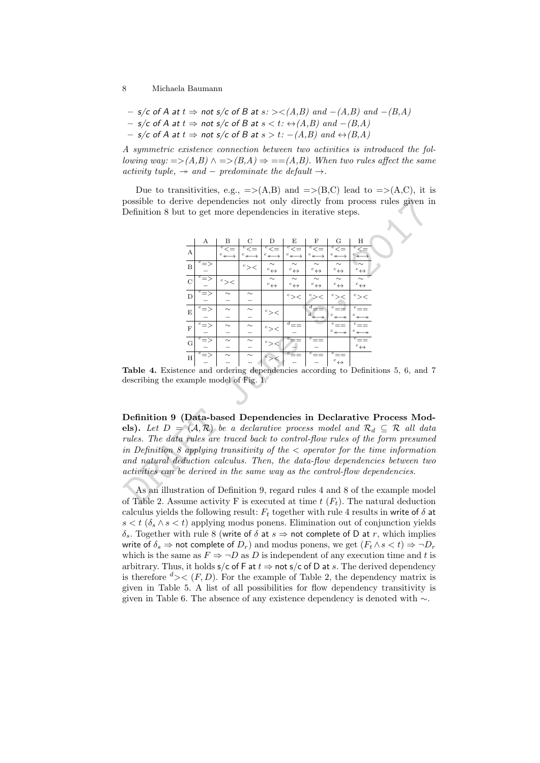- $-$  s/c of A at  $t \Rightarrow$  not s/c of B at  $s$ : ><(A,B) and  $-(A,B)$  and  $-(B,A)$
- $-$  s/c of A at  $t \Rightarrow$  not s/c of B at  $s < t$ :  $\leftrightarrow$  (A,B) and  $-(B,A)$
- $-$  s/c of A at  $t \Rightarrow$  not s/c of B at  $s > t$ :  $-(A,B)$  and  $\leftrightarrow$   $(B,A)$

A symmetric existence connection between two activities is introduced the following way:  $\Rightarrow$  (A,B)  $\land \Rightarrow$  (B,A)  $\Rightarrow$  == (A,B). When two rules affect the same activity tuple,  $\rightarrow$  and – predominate the default  $\rightarrow$ .

Due to transitivities, e.g.,  $\Rightarrow$  (A,B) and  $\Rightarrow$  (B,C) lead to  $\Rightarrow$  (A,C), it is possible to derive dependencies not only directly from process rules given in Definition 8 but to get more dependencies in iterative steps.

| possible to derive dependencies not only directly from process rules given i                                                       |                   |            |                             |                                |                                  |                                  |                                               |                        |  |  |
|------------------------------------------------------------------------------------------------------------------------------------|-------------------|------------|-----------------------------|--------------------------------|----------------------------------|----------------------------------|-----------------------------------------------|------------------------|--|--|
| Definition 8 but to get more dependencies in iterative steps.                                                                      |                   |            |                             |                                |                                  |                                  |                                               |                        |  |  |
|                                                                                                                                    |                   |            |                             |                                |                                  |                                  |                                               |                        |  |  |
|                                                                                                                                    |                   |            |                             |                                |                                  |                                  |                                               |                        |  |  |
|                                                                                                                                    | А                 | в          |                             | Ð                              | Е                                | F                                | G                                             | Η                      |  |  |
| А                                                                                                                                  |                   |            |                             |                                |                                  |                                  |                                               |                        |  |  |
| $\boldsymbol{B}$                                                                                                                   | $\overline{c}$ => |            |                             | $\sim$                         | $^c\! \leftrightarrow$           | $^c\! \leftrightarrow$           | ${}^c\leftrightarrow$                         | $^c\! \leftrightarrow$ |  |  |
| $\mathcal{C}$                                                                                                                      |                   | $^c\!>\,<$ |                             | $\sim$<br>$^c \leftrightarrow$ | $\sim$<br>$^c\! \leftrightarrow$ | $\sim$<br>$^c\! \leftrightarrow$ | $\sim$<br>$^c\! \leftrightarrow$              | $^c\! \leftrightarrow$ |  |  |
| D                                                                                                                                  |                   | $\sim$     | $\sim$                      |                                | $^c$ $>$ $<$                     | $>\,<$                           | $c$ ><                                        | $c$ $><$               |  |  |
| E                                                                                                                                  |                   | $\sim$     | $\scriptstyle\mathtt{\sim}$ | $^c$ $>$ $<$                   |                                  | $d_{\nparallel}$                 |                                               |                        |  |  |
| $\mathbf{F}$                                                                                                                       |                   | $\sim$     |                             | $c$ $><$                       | $a_{==}$                         |                                  |                                               |                        |  |  |
|                                                                                                                                    |                   | $\sim$     |                             |                                |                                  | $\bar{c} =$                      | $^c$ $\!$                                     |                        |  |  |
| G                                                                                                                                  |                   |            |                             | $c$ $>$                        |                                  |                                  |                                               | $^c\leftrightarrow$    |  |  |
| H                                                                                                                                  |                   |            |                             |                                |                                  |                                  | $c_{\equiv \equiv}$<br>$^c\! \leftrightarrow$ |                        |  |  |
| <b>Table 4.</b> Existence and ordering dependencies according to Definitions 5, 6, and                                             |                   |            |                             |                                |                                  |                                  |                                               |                        |  |  |
| describing the example model of Fig. 1.                                                                                            |                   |            |                             |                                |                                  |                                  |                                               |                        |  |  |
|                                                                                                                                    |                   |            |                             |                                |                                  |                                  |                                               |                        |  |  |
|                                                                                                                                    |                   |            |                             |                                |                                  |                                  |                                               |                        |  |  |
| Definition 9 (Data-based Dependencies in Declarative Process Moc                                                                   |                   |            |                             |                                |                                  |                                  |                                               |                        |  |  |
| <b>els).</b> Let $D = (\mathcal{A}, \mathcal{R})$ be a declarative process model and $\mathcal{R}_d \subseteq \mathcal{R}$ all day |                   |            |                             |                                |                                  |                                  |                                               |                        |  |  |
| rules. The data rules are traced back to control-flow rules of the form presume                                                    |                   |            |                             |                                |                                  |                                  |                                               |                        |  |  |
| in Definition 8 applying transitivity of the $\lt$ operator for the time information                                               |                   |            |                             |                                |                                  |                                  |                                               |                        |  |  |
| $and$ natural deduction calculus. Then, the data-flow dependencies between tu                                                      |                   |            |                             |                                |                                  |                                  |                                               |                        |  |  |
| activities can be derived in the same way as the control-flow dependencies.                                                        |                   |            |                             |                                |                                  |                                  |                                               |                        |  |  |
|                                                                                                                                    |                   |            |                             |                                |                                  |                                  |                                               |                        |  |  |
| As an illustration of Definition 9, regard rules 4 and 8 of the example mode                                                       |                   |            |                             |                                |                                  |                                  |                                               |                        |  |  |
| of Table 2. Assume activity F is executed at time $t(F_t)$ . The natural deduction                                                 |                   |            |                             |                                |                                  |                                  |                                               |                        |  |  |

Table 4. Existence and ordering dependencies according to Definitions 5, 6, and 7 describing the example model of Fig. 1.

As an illustration of Definition 9, regard rules 4 and 8 of the example model of Table 2. Assume activity F is executed at time  $t(F_t)$ . The natural deduction calculus yields the following result:  $F_t$  together with rule 4 results in write of  $\delta$  at  $s < t$  ( $\delta_s \wedge s < t$ ) applying modus ponens. Elimination out of conjunction yields δ<sub>s</sub>. Together with rule 8 (write of δ at  $s \Rightarrow$  not complete of D at r, which implies write of  $\delta_s \Rightarrow$  not complete of  $D_r$ ) and modus ponens, we get  $(F_t \wedge s < t) \Rightarrow \neg D_r$ which is the same as  $F \Rightarrow \neg D$  as D is independent of any execution time and t is arbitrary. Thus, it holds  $s/c$  of F at  $t \Rightarrow$  not  $s/c$  of D at s. The derived dependency is therefore  $d \geq \langle F, D \rangle$ . For the example of Table 2, the dependency matrix is given in Table 5. A list of all possibilities for flow dependency transitivity is given in Table 6. The absence of any existence dependency is denoted with ∼.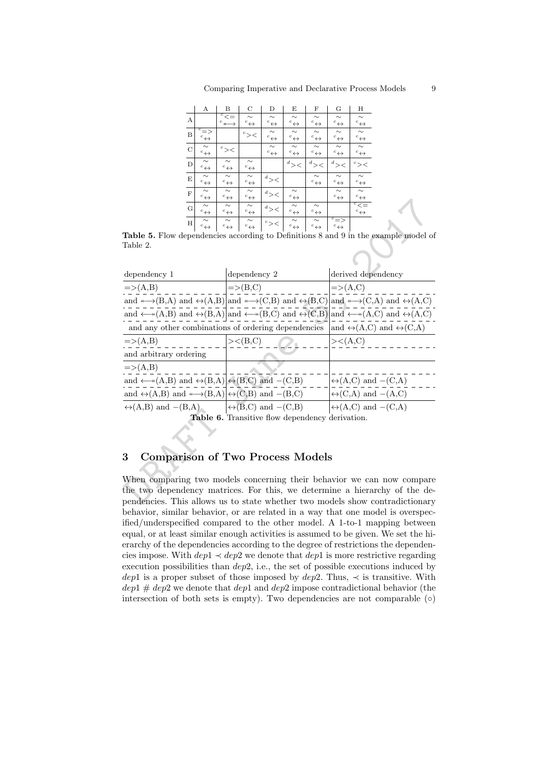|             | А                                             | В                                                            | С                                | D                                | E                                | F                                | G                                        | Н                                                |
|-------------|-----------------------------------------------|--------------------------------------------------------------|----------------------------------|----------------------------------|----------------------------------|----------------------------------|------------------------------------------|--------------------------------------------------|
| А           |                                               | $\overline{c}$ $\overline{\le}$ $=$<br>$^c$ $\longleftarrow$ | $\sim$<br>$^c\! \leftrightarrow$ | $\sim$<br>$^c\! \leftrightarrow$ | $\sim$<br>$^c\leftrightarrow$    | $\sim$<br>$^c\! \leftrightarrow$ | $\sim$<br>$^c\! \leftrightarrow$         | $\sim$<br>$^c\! \leftrightarrow$                 |
| B           | $\overline{c} \equiv $<br>$^c\leftrightarrow$ |                                                              | $^c\!>\,<$                       | $\sim$<br>$^c\! \leftrightarrow$ | $\sim$<br>$^c\! \leftrightarrow$ | $\sim$<br>$^c\leftrightarrow$    | $\sim$<br>$^c\! \leftrightarrow$         | $\sim\,$<br>$^c\! \leftrightarrow$               |
| $\mathbf C$ | $\sim$<br>$^c\leftrightarrow$                 | $c$ ><                                                       |                                  | $\sim$<br>$^c\! \leftrightarrow$ | $\sim$<br>$^c\! \leftrightarrow$ | $\sim$<br>$^c\leftrightarrow$    | $\sim$<br>$^c\! \leftrightarrow$         | $\sim$<br>$^c\! \leftrightarrow$                 |
| $\mathbf D$ | $\sim$<br>$^c\! \leftrightarrow$              | $\sim$<br>$^c\! \leftrightarrow$                             | $\sim$<br>$^c\! \leftrightarrow$ |                                  | $^d$ $>$ $<$                     | $^d$ $> <$                       | $^d$ $>$ $<$                             | $c$ ><                                           |
| E           | $\sim$<br>$^c\leftrightarrow$                 | $\sim$<br>$^c\! \leftrightarrow$                             | $\sim\,$<br>$^c\leftrightarrow$  | $^d$ $>$ $<$                     |                                  | $\sim$<br>$^c\leftrightarrow$    | $\sim$<br>$^c\leftrightarrow$            | $\sim$<br>$^c\! \leftrightarrow$                 |
| $\mathbf F$ | $\sim$<br>$^c\leftrightarrow$                 | $\sim$<br>$^c\! \leftrightarrow$                             | $\sim\,$<br>$^c\leftrightarrow$  | $^d$ $>$ $<$                     | $\sim$<br>$^c\leftrightarrow$    |                                  | $\sim$<br>$^c\leftrightarrow$            | $\sim$<br>$^c\! \leftrightarrow$                 |
| G           | $\sim$<br>$^c\! \leftrightarrow$              | $\sim$<br>$^c\! \leftrightarrow$                             | $\sim$<br>$^c\! \leftrightarrow$ | $^d$ $>$ $<$                     | $\sim$<br>$^c\leftrightarrow$    | $\sim$<br>$^c\leftrightarrow$    |                                          | $\overline{^c\!\!<\!\!=}$<br>$^c\leftrightarrow$ |
| H           | $\sim$<br>$^c\leftrightarrow$                 | $\sim$<br>$^c\! \leftrightarrow$                             | $\sim$<br>$^c\leftrightarrow$    | $c$ ><                           | $\sim$<br>$^c\leftrightarrow$    | $\sim$<br>$^c\leftrightarrow$    | $\overline{c}$ =><br>$^c\leftrightarrow$ |                                                  |

| G                                                                                                                                                                              |                                                        |                     |  |                     |                                     |
|--------------------------------------------------------------------------------------------------------------------------------------------------------------------------------|--------------------------------------------------------|---------------------|--|---------------------|-------------------------------------|
| $\overline{H}$                                                                                                                                                                 |                                                        |                     |  |                     |                                     |
| Table 5. Flow dependencies according to Definitions 8 and 9 in the example model of                                                                                            |                                                        |                     |  |                     |                                     |
| Table 2.                                                                                                                                                                       |                                                        |                     |  |                     |                                     |
|                                                                                                                                                                                |                                                        |                     |  |                     |                                     |
| dependency 1                                                                                                                                                                   |                                                        | dependency 2        |  |                     | derived dependency                  |
| $\Rightarrow$ (A,B)                                                                                                                                                            |                                                        | $\Rightarrow$ (B,C) |  | $\Rightarrow$ (A,C) |                                     |
| and $\leftrightarrow$ (B,A) and $\leftrightarrow$ (A,B) and $\leftrightarrow$ (C,B) and $\leftrightarrow$ (B,C) and $\leftrightarrow$ (C,A) and $\leftrightarrow$ (A,C)        |                                                        |                     |  |                     |                                     |
| and $\leftarrow$ + (A,B) and $\leftarrow$ (B,A) and $\leftarrow$ + (B,C) and $\leftarrow$ (C,B) and $\leftarrow$ + (A,C) and $\leftarrow$ (A,C)                                |                                                        |                     |  |                     |                                     |
| and any other combinations of ordering dependencies and $\leftrightarrow$ (A,C) and $\leftrightarrow$ (C,A)                                                                    |                                                        |                     |  |                     |                                     |
| $\Rightarrow$ (A,B)                                                                                                                                                            |                                                        | $\gt<(B,C)$         |  | ><(A,C)             |                                     |
| and arbitrary ordering                                                                                                                                                         |                                                        |                     |  |                     |                                     |
| $\Rightarrow$ (A,B)                                                                                                                                                            |                                                        |                     |  |                     |                                     |
| and $\leftarrow$ +(A,B) and $\leftrightarrow$ (B,A) $\left  \leftrightarrow$ (B,C) and -(C,B)                                                                                  |                                                        |                     |  |                     | $\leftrightarrow(A,C)$ and $-(C,A)$ |
| and $\leftrightarrow$ (A,B) and $\leftrightarrow$ (B,A) $\leftrightarrow$ (C,B) and $-(B,C)$ $\leftrightarrow$ (C,A) and $-(A,C)$                                              |                                                        |                     |  |                     |                                     |
| $\leftrightarrow$ (A,B) and $-(B,A)$ $\qquad \qquad$ $\qquad \qquad$ $\leftrightarrow$ (B,C) and $-(C,B)$ $\qquad \qquad$ $\qquad \qquad$ $\leftrightarrow$ (A,C) and $-(C,A)$ |                                                        |                     |  |                     |                                     |
|                                                                                                                                                                                | <b>Table 6.</b> Transitive flow dependency derivation. |                     |  |                     |                                     |
|                                                                                                                                                                                |                                                        |                     |  |                     |                                     |
|                                                                                                                                                                                |                                                        |                     |  |                     |                                     |
| 3<br><b>Comparison of Two Process Models</b>                                                                                                                                   |                                                        |                     |  |                     |                                     |
| When comparing two models concerning their behavior we can now compare                                                                                                         |                                                        |                     |  |                     |                                     |
| the two dependency matrices. For this, we determine a hierarchy of the de-                                                                                                     |                                                        |                     |  |                     |                                     |
| pendencies. This allows us to state whether two models show contradictionary                                                                                                   |                                                        |                     |  |                     |                                     |

# 3 Comparison of Two Process Models

When comparing two models concerning their behavior we can now compare the two dependency matrices. For this, we determine a hierarchy of the dependencies. This allows us to state whether two models show contradictionary behavior, similar behavior, or are related in a way that one model is overspecified/underspecified compared to the other model. A 1-to-1 mapping between equal, or at least similar enough activities is assumed to be given. We set the hierarchy of the dependencies according to the degree of restrictions the dependencies impose. With  $dep1 \prec dep2$  we denote that  $dep1$  is more restrictive regarding execution possibilities than dep2, i.e., the set of possible executions induced by dep1 is a proper subset of those imposed by dep2. Thus,  $\prec$  is transitive. With  $dep1 \# dep2$  we denote that  $dep1$  and  $dep2$  impose contradictional behavior (the intersection of both sets is empty). Two dependencies are not comparable  $(○)$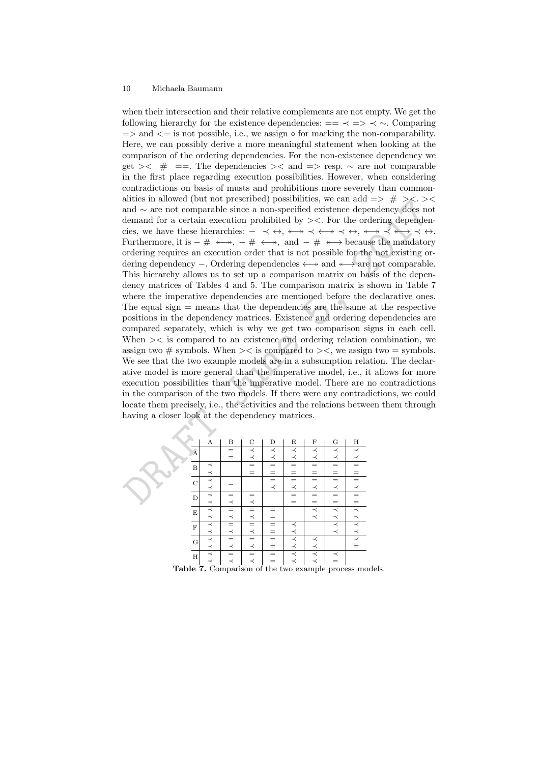and  $\sim$  are over (but not prescribed) possibilities, we can adci = >  $\neq$  >  $\leq$  >  $\leq$  >  $\leq$   $\leq$   $\leq$   $\leq$   $\leq$   $\leq$   $\leq$   $\leq$   $\leq$   $\leq$   $\leq$   $\leq$   $\leq$   $\leq$   $\leq$   $\leq$   $\leq$   $\leq$   $\leq$   $\leq$   $\leq$  when their intersection and their relative complements are not empty. We get the following hierarchy for the existence dependencies:  $=$   $\prec$   $\Rightarrow$   $\prec$   $\sim$ . Comparing  $\Rightarrow$  and  $\leq$  is not possible, i.e., we assign  $\circ$  for marking the non-comparability. Here, we can possibly derive a more meaningful statement when looking at the comparison of the ordering dependencies. For the non-existence dependency we get ><  $\#$  ==. The dependencies >< and => resp.  $\sim$  are not comparable in the first place regarding execution possibilities. However, when considering contradictions on basis of musts and prohibitions more severely than commonalities in allowed (but not prescribed) possibilities, we can add  $\Rightarrow$  # ><.>< and ∼ are not comparable since a non-specified existence dependency does not demand for a certain execution prohibited by ><. For the ordering dependencies, we have these hierarchies:  $- \prec \leftrightarrow, \dashv \rightarrow \prec \leftrightarrow, \dashv \rightarrow \prec \leftrightarrow \prec \leftrightarrow$ . Furthermore, it is  $-$  #  $\longleftrightarrow$ ,  $-$  #  $\longleftrightarrow$ , and  $-$  #  $\longleftrightarrow$  because the mandatory ordering requires an execution order that is not possible for the not existing ordering dependency –. Ordering dependencies  $\longleftrightarrow$  and  $\longleftrightarrow$  are not comparable. This hierarchy allows us to set up a comparison matrix on basis of the dependency matrices of Tables 4 and 5. The comparison matrix is shown in Table 7 where the imperative dependencies are mentioned before the declarative ones. The equal sign  $=$  means that the dependencies are the same at the respective positions in the dependency matrices. Existence and ordering dependencies are compared separately, which is why we get two comparison signs in each cell. When >< is compared to an existence and ordering relation combination, we assign two  $\#$  symbols. When  $\ge$  is compared to  $\ge$ , we assign two = symbols. We see that the two example models are in a subsumption relation. The declarative model is more general than the imperative model, i.e., it allows for more execution possibilities than the imperative model. There are no contradictions in the comparison of the two models. If there were any contradictions, we could locate them precisely, i.e., the activities and the relations between them through having a closer look at the dependency matrices.

|                    | $\boldsymbol{A}$ | В       | $\mathbf C$ | D       | Ε       | F       | G       | H |
|--------------------|------------------|---------|-------------|---------|---------|---------|---------|---|
| $\hat{\mathbf{A}}$ |                  | $=$     | ≺           | $\prec$ | $\prec$ | $\prec$ | $\prec$ |   |
|                    |                  | $=$     | $\prec$     | $\prec$ | $\prec$ | $\prec$ | $\prec$ |   |
| B                  | $\prec$          |         | $=$         | $=$     | $=$     |         | $=$     |   |
|                    | ≺                |         |             | =       | $=$     |         | $=$     | = |
| $\overline{C}$     | $\prec$          |         |             | $=$     | $=$     | $=$     | $=$     |   |
|                    | $\prec$          |         |             | $\prec$ | $\prec$ | $\prec$ | $\prec$ | ≺ |
| D                  | $\prec$          |         |             |         | $=$     |         | $=$     |   |
|                    | $\prec$          | ≺       | $\prec$     |         | $=$     | $=$     | $=$     |   |
| $\mathbf E$        | $\prec$          | $=$     | $=$         | =       |         | $\prec$ | $\prec$ |   |
|                    | $\prec$          | ≺       | $\prec$     | $=$     |         | $\prec$ | ≺       |   |
| $\mathbf{F}$       | $\prec$          | $=$     | $=$         | $=$     | $\prec$ |         | $\prec$ |   |
|                    | ≺                | $\prec$ | ≺           | $=$     | ≺       |         | $\prec$ |   |
| G                  | ≺                |         |             | $=$     | $\prec$ | ≺       |         |   |
|                    | $\prec$          | ≺       | ≺           | =       | ≺       | ≺       |         |   |
| $\rm H$            | $\prec$          | $=$     |             | $=$     | ≺       | $\prec$ | ≺       |   |
|                    | ≺                | $\prec$ | ≺           | $=$     | $\prec$ | ≺       | $=$     |   |

Table 7. Comparison of the two example process models.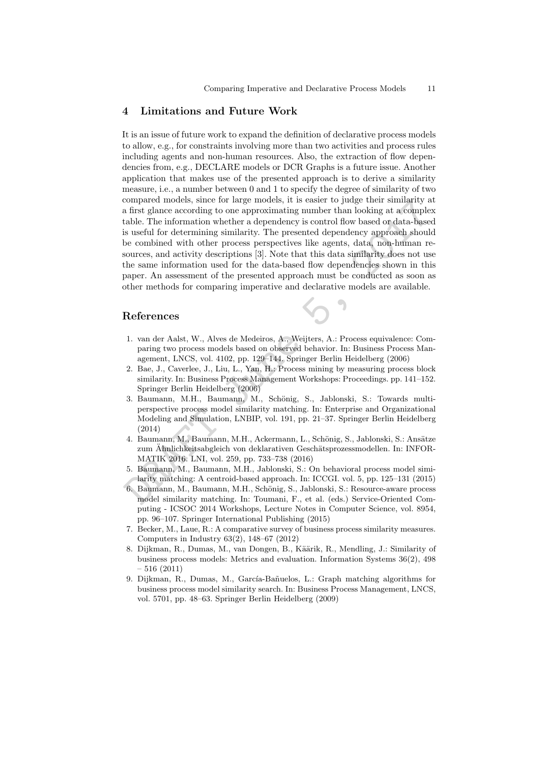### 4 Limitations and Future Work

compared models, since for large models, it is easier to yudge their sumlarity<br>and a first glance according to one approximating number than looking at a completable. The information whether a dependency is control flow b It is an issue of future work to expand the definition of declarative process models to allow, e.g., for constraints involving more than two activities and process rules including agents and non-human resources. Also, the extraction of flow dependencies from, e.g., DECLARE models or DCR Graphs is a future issue. Another application that makes use of the presented approach is to derive a similarity measure, i.e., a number between 0 and 1 to specify the degree of similarity of two compared models, since for large models, it is easier to judge their similarity at a first glance according to one approximating number than looking at a complex table. The information whether a dependency is control flow based or data-based is useful for determining similarity. The presented dependency approach should be combined with other process perspectives like agents, data, non-human resources, and activity descriptions [3]. Note that this data similarity does not use the same information used for the data-based flow dependencies shown in this paper. An assessment of the presented approach must be conducted as soon as other methods for comparing imperative and declarative models are available.

## References

- 1. van der Aalst, W., Alves de Medeiros, A., Weijters, A.: Process equivalence: Comparing two process models based on observed behavior. In: Business Process Management, LNCS, vol. 4102, pp. 129–144. Springer Berlin Heidelberg (2006)
- 2. Bae, J., Caverlee, J., Liu, L., Yan, H.: Process mining by measuring process block similarity. In: Business Process Management Workshops: Proceedings. pp. 141–152. Springer Berlin Heidelberg (2006)
- 3. Baumann, M.H., Baumann, M., Schönig, S., Jablonski, S.: Towards multiperspective process model similarity matching. In: Enterprise and Organizational Modeling and Simulation, LNBIP, vol. 191, pp. 21–37. Springer Berlin Heidelberg (2014)
- 4. Baumann, M., Baumann, M.H., Ackermann, L., Schönig, S., Jablonski, S.: Ansätze zum Ahnlichkeitsabgleich von deklarativen Geschätsprozessmodellen. In: INFOR-MATIK 2016. LNI, vol. 259, pp. 733–738 (2016)
- 5. Baumann, M., Baumann, M.H., Jablonski, S.: On behavioral process model similarity matching: A centroid-based approach. In: ICCGI. vol. 5, pp. 125–131 (2015)
- 6. Baumann, M., Baumann, M.H., Schönig, S., Jablonski, S.: Resource-aware process model similarity matching. In: Toumani, F., et al. (eds.) Service-Oriented Computing - ICSOC 2014 Workshops, Lecture Notes in Computer Science, vol. 8954, pp. 96–107. Springer International Publishing (2015)
- 7. Becker, M., Laue, R.: A comparative survey of business process similarity measures. Computers in Industry 63(2), 148–67 (2012)
- 8. Dijkman, R., Dumas, M., van Dongen, B., Käärik, R., Mendling, J.: Similarity of business process models: Metrics and evaluation. Information Systems 36(2), 498 – 516 (2011)
- 9. Dijkman, R., Dumas, M., García-Bañuelos, L.: Graph matching algorithms for business process model similarity search. In: Business Process Management, LNCS, vol. 5701, pp. 48–63. Springer Berlin Heidelberg (2009)